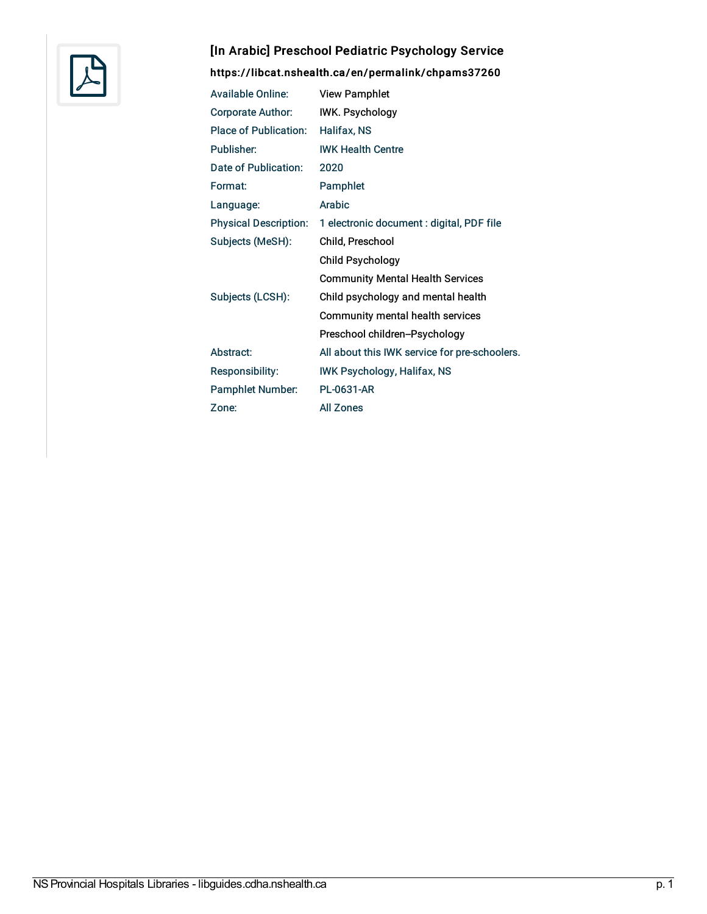

## [In Arabic] Preschool Pediatric Psychology Service

<https://libcat.nshealth.ca/en/permalink/chpams37260>

| <b>Available Online:</b>     | <b>View Pamphlet</b>                          |
|------------------------------|-----------------------------------------------|
| Corporate Author:            | <b>IWK. Psychology</b>                        |
| Place of Publication:        | Halifax, NS                                   |
| Publisher:                   | <b>IWK Health Centre</b>                      |
| Date of Publication:         | 2020                                          |
| Format:                      | Pamphlet                                      |
| Language:                    | Arabic                                        |
| <b>Physical Description:</b> | 1 electronic document : digital, PDF file     |
| Subjects (MeSH):             | Child, Preschool                              |
|                              | Child Psychology                              |
|                              | <b>Community Mental Health Services</b>       |
| Subjects (LCSH):             | Child psychology and mental health            |
|                              | Community mental health services              |
|                              | Preschool children-Psychology                 |
| Abstract:                    | All about this IWK service for pre-schoolers. |
| Responsibility:              | <b>IWK Psychology, Halifax, NS</b>            |
| <b>Pamphlet Number:</b>      | <b>PL-0631-AR</b>                             |
| Zone:                        | <b>All Zones</b>                              |
|                              |                                               |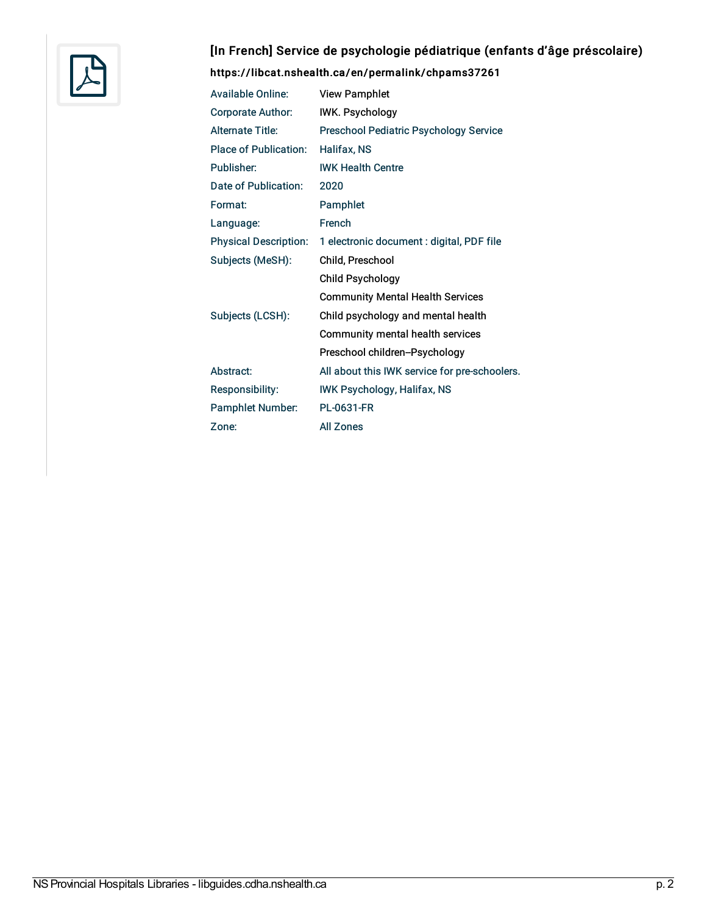

## [In French] Service de psychologie pédiatrique (enfants d'âge préscolaire)

## <https://libcat.nshealth.ca/en/permalink/chpams37261>

| <b>Available Online:</b>     | <b>View Pamphlet</b>                          |
|------------------------------|-----------------------------------------------|
| <b>Corporate Author:</b>     | <b>IWK. Psychology</b>                        |
| <b>Alternate Title:</b>      | <b>Preschool Pediatric Psychology Service</b> |
| <b>Place of Publication:</b> | Halifax, NS                                   |
| Publisher:                   | <b>IWK Health Centre</b>                      |
| Date of Publication:         | 2020                                          |
| Format:                      | Pamphlet                                      |
| Language:                    | French                                        |
| <b>Physical Description:</b> | 1 electronic document : digital, PDF file     |
| Subjects (MeSH):             | Child, Preschool                              |
|                              | <b>Child Psychology</b>                       |
|                              | <b>Community Mental Health Services</b>       |
| Subjects (LCSH):             | Child psychology and mental health            |
|                              | Community mental health services              |
|                              | Preschool children-Psychology                 |
| Abstract:                    | All about this IWK service for pre-schoolers. |
| <b>Responsibility:</b>       | <b>IWK Psychology, Halifax, NS</b>            |
| <b>Pamphlet Number:</b>      | <b>PL-0631-FR</b>                             |
| Zone:                        | <b>All Zones</b>                              |